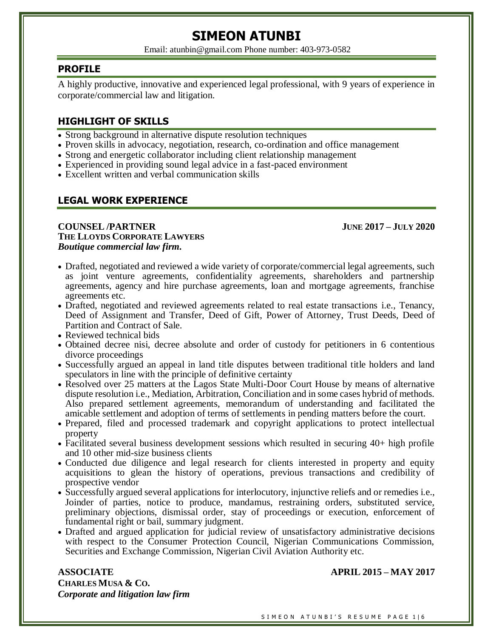# **SIMEON ATUNBI**

Email: [atunbin@gmail.com](about:blank) Phone number: 403-973-0582

## **PROFILE**

A highly productive, innovative and experienced legal professional, with 9 years of experience in corporate/commercial law and litigation.

# **HIGHLIGHT OF SKILLS**

- Strong background in alternative dispute resolution techniques
- Proven skills in advocacy, negotiation, research, co-ordination and office management
- Strong and energetic collaborator including client relationship management
- Experienced in providing sound legal advice in a fast-paced environment
- Excellent written and verbal communication skills

## **LEGAL WORK EXPERIENCE**

**COUNSEL /PARTNER JUNE 2017 – JULY 2020 THE LLOYDS CORPORATE LAWYERS**  *Boutique commercial law firm.*

- Drafted, negotiated and reviewed a wide variety of corporate/commercial legal agreements, such as joint venture agreements, confidentiality agreements, shareholders and partnership agreements, agency and hire purchase agreements, loan and mortgage agreements, franchise agreements etc.
- Drafted, negotiated and reviewed agreements related to real estate transactions i.e., Tenancy, Deed of Assignment and Transfer, Deed of Gift, Power of Attorney, Trust Deeds, Deed of Partition and Contract of Sale.
- Reviewed technical bids
- Obtained decree nisi, decree absolute and order of custody for petitioners in 6 contentious divorce proceedings
- Successfully argued an appeal in land title disputes between traditional title holders and land speculators in line with the principle of definitive certainty
- Resolved over 25 matters at the Lagos State Multi-Door Court House by means of alternative dispute resolution i.e., Mediation, Arbitration, Conciliation and in some cases hybrid of methods. Also prepared settlement agreements, memorandum of understanding and facilitated the amicable settlement and adoption of terms of settlements in pending matters before the court.
- Prepared, filed and processed trademark and copyright applications to protect intellectual property
- Facilitated several business development sessions which resulted in securing 40+ high profile and 10 other mid-size business clients
- Conducted due diligence and legal research for clients interested in property and equity acquisitions to glean the history of operations, previous transactions and credibility of prospective vendor
- Successfully argued several applications for interlocutory, injunctive reliefs and or remedies i.e., Joinder of parties, notice to produce, mandamus, restraining orders, substituted service, preliminary objections, dismissal order, stay of proceedings or execution, enforcement of fundamental right or bail, summary judgment.
- Drafted and argued application for judicial review of unsatisfactory administrative decisions with respect to the Consumer Protection Council, Nigerian Communications Commission, Securities and Exchange Commission, Nigerian Civil Aviation Authority etc.

**ASSOCIATE APRIL 2015 – MAY 2017**

**CHARLES MUSA & CO.** *Corporate and litigation law firm*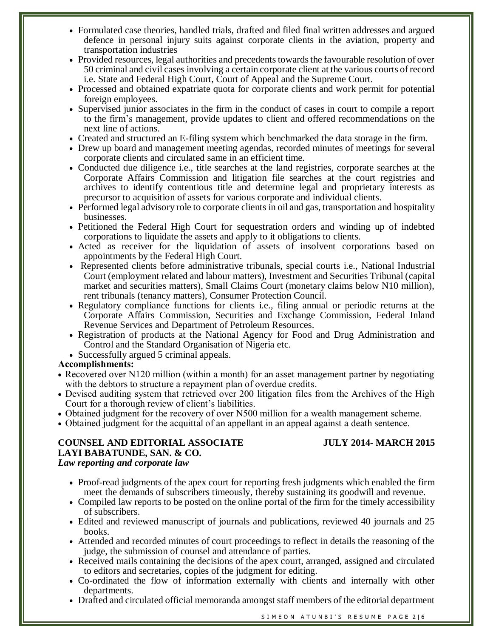- Formulated case theories, handled trials, drafted and filed final written addresses and argued defence in personal injury suits against corporate clients in the aviation, property and transportation industries
- Provided resources, legal authorities and precedents towards the favourable resolution of over 50 criminal and civil cases involving a certain corporate client at the various courts of record i.e. State and Federal High Court, Court of Appeal and the Supreme Court.
- Processed and obtained expatriate quota for corporate clients and work permit for potential foreign employees.
- Supervised junior associates in the firm in the conduct of cases in court to compile a report to the firm's management, provide updates to client and offered recommendations on the next line of actions.
- Created and structured an E-filing system which benchmarked the data storage in the firm.
- Drew up board and management meeting agendas, recorded minutes of meetings for several corporate clients and circulated same in an efficient time.
- Conducted due diligence i.e., title searches at the land registries, corporate searches at the Corporate Affairs Commission and litigation file searches at the court registries and archives to identify contentious title and determine legal and proprietary interests as precursor to acquisition of assets for various corporate and individual clients.
- Performed legal advisory role to corporate clients in oil and gas, transportation and hospitality businesses.
- Petitioned the Federal High Court for sequestration orders and winding up of indebted corporations to liquidate the assets and apply to it obligations to clients.
- Acted as receiver for the liquidation of assets of insolvent corporations based on appointments by the Federal High Court.
- Represented clients before administrative tribunals, special courts i.e., National Industrial Court (employment related and labour matters), Investment and Securities Tribunal (capital market and securities matters), Small Claims Court (monetary claims below N10 million), rent tribunals (tenancy matters), Consumer Protection Council.
- Regulatory compliance functions for clients i.e., filing annual or periodic returns at the Corporate Affairs Commission, Securities and Exchange Commission, Federal Inland Revenue Services and Department of Petroleum Resources.
- Registration of products at the National Agency for Food and Drug Administration and Control and the Standard Organisation of Nigeria etc.
- Successfully argued 5 criminal appeals.

## **Accomplishments:**

- Recovered over N120 million (within a month) for an asset management partner by negotiating with the debtors to structure a repayment plan of overdue credits.
- Devised auditing system that retrieved over 200 litigation files from the Archives of the High Court for a thorough review of client's liabilities.
- Obtained judgment for the recovery of over N500 million for a wealth management scheme.
- Obtained judgment for the acquittal of an appellant in an appeal against a death sentence.

### **COUNSEL AND EDITORIAL ASSOCIATE JULY 2014- MARCH 2015 LAYI BABATUNDE, SAN. & CO.**  *Law reporting and corporate law*

- Proof-read judgments of the apex court for reporting fresh judgments which enabled the firm meet the demands of subscribers timeously, thereby sustaining its goodwill and revenue.
- Compiled law reports to be posted on the online portal of the firm for the timely accessibility of subscribers.
- Edited and reviewed manuscript of journals and publications, reviewed 40 journals and 25 books.
- Attended and recorded minutes of court proceedings to reflect in details the reasoning of the judge, the submission of counsel and attendance of parties.
- Received mails containing the decisions of the apex court, arranged, assigned and circulated to editors and secretaries, copies of the judgment for editing.
- Co-ordinated the flow of information externally with clients and internally with other departments.
- Drafted and circulated official memoranda amongst staff members of the editorial department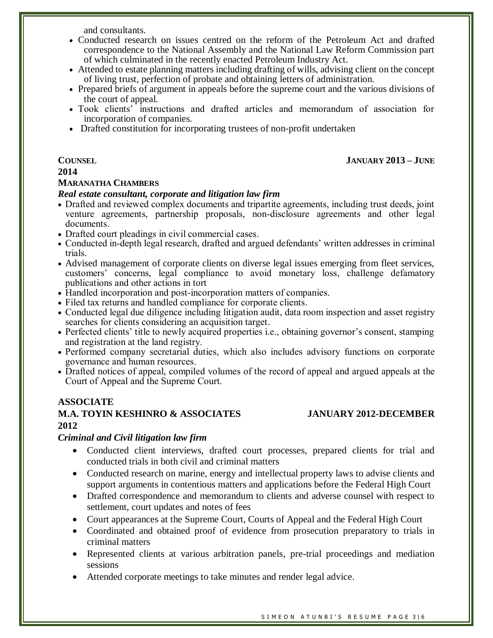and consultants.

- Conducted research on issues centred on the reform of the Petroleum Act and drafted correspondence to the National Assembly and the National Law Reform Commission part of which culminated in the recently enacted Petroleum Industry Act.
- Attended to estate planning matters including drafting of wills, advising client on the concept of living trust, perfection of probate and obtaining letters of administration.
- Prepared briefs of argument in appeals before the supreme court and the various divisions of the court of appeal.
- Took clients' instructions and drafted articles and memorandum of association for incorporation of companies.
- Drafted constitution for incorporating trustees of non-profit undertaken

# **2014**

## **MARANATHA CHAMBERS**

## *Real estate consultant, corporate and litigation law firm*

- Drafted and reviewed complex documents and tripartite agreements, including trust deeds, joint venture agreements, partnership proposals, non-disclosure agreements and other legal documents.
- Drafted court pleadings in civil commercial cases.
- Conducted in-depth legal research, drafted and argued defendants' written addresses in criminal trials.
- Advised management of corporate clients on diverse legal issues emerging from fleet services, customers' concerns, legal compliance to avoid monetary loss, challenge defamatory publications and other actions in tort
- Handled incorporation and post-incorporation matters of companies.
- Filed tax returns and handled compliance for corporate clients.
- Conducted legal due diligence including litigation audit, data room inspection and asset registry searches for clients considering an acquisition target.
- Perfected clients' title to newly acquired properties i.e., obtaining governor's consent, stamping and registration at the land registry.
- Performed company secretarial duties, which also includes advisory functions on corporate governance and human resources.
- Drafted notices of appeal, compiled volumes of the record of appeal and argued appeals at the Court of Appeal and the Supreme Court.

## **ASSOCIATE**

# **M.A. TOYIN KESHINRO & ASSOCIATES JANUARY 2012-DECEMBER**

## **2012**

## *Criminal and Civil litigation law firm*

- Conducted client interviews, drafted court processes, prepared clients for trial and conducted trials in both civil and criminal matters
- Conducted research on marine, energy and intellectual property laws to advise clients and support arguments in contentious matters and applications before the Federal High Court
- Drafted correspondence and memorandum to clients and adverse counsel with respect to settlement, court updates and notes of fees
- Court appearances at the Supreme Court, Courts of Appeal and the Federal High Court
- Coordinated and obtained proof of evidence from prosecution preparatory to trials in criminal matters
- Represented clients at various arbitration panels, pre-trial proceedings and mediation sessions
- Attended corporate meetings to take minutes and render legal advice.

# SIMEON ATUNBI'S RESUME PAGE 3|6

# **COUNSEL JANUARY 2013 – JUNE**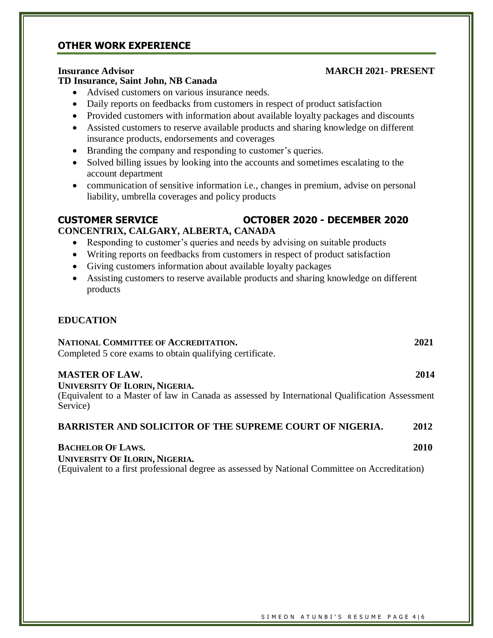# **OTHER WORK EXPERIENCE**

## **TD Insurance, Saint John, NB Canada**

- Advised customers on various insurance needs.
- Daily reports on feedbacks from customers in respect of product satisfaction
- Provided customers with information about available loyalty packages and discounts
- Assisted customers to reserve available products and sharing knowledge on different insurance products, endorsements and coverages
- Branding the company and responding to customer's queries.
- Solved billing issues by looking into the accounts and sometimes escalating to the account department
- communication of sensitive information i.e., changes in premium, advise on personal liability, umbrella coverages and policy products

# **CUSTOMER SERVICE OCTOBER 2020 - DECEMBER 2020 CONCENTRIX, CALGARY, ALBERTA, CANADA**

- Responding to customer's queries and needs by advising on suitable products
- Writing reports on feedbacks from customers in respect of product satisfaction
- Giving customers information about available loyalty packages
- Assisting customers to reserve available products and sharing knowledge on different products

## **EDUCATION**

| NATIONAL COMMITTEE OF ACCREDITATION.                                                                       | 2021 |
|------------------------------------------------------------------------------------------------------------|------|
| Completed 5 core exams to obtain qualifying certificate.                                                   |      |
| <b>MASTER OF LAW.</b>                                                                                      | 2014 |
| UNIVERSITY OF ILORIN, NIGERIA.                                                                             |      |
| (Equivalent to a Master of law in Canada as assessed by International Qualification Assessment<br>Service) |      |
| <b>BARRISTER AND SOLICITOR OF THE SUPREME COURT OF NIGERIA.</b>                                            | 2012 |
| <b>BACHELOR OF LAWS.</b>                                                                                   | 2010 |
| UNIVERSITY OF ILORIN, NIGERIA.                                                                             |      |
| (Equivalent to a first professional degree as assessed by National Committee on Accreditation)             |      |

# **Insurance Advisor MARCH 2021- PRESENT**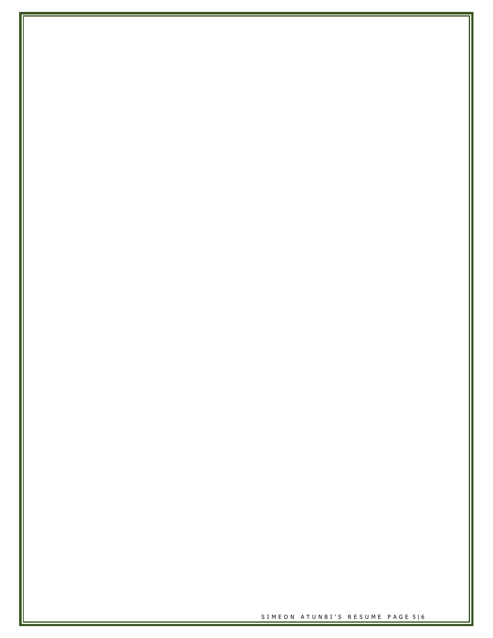